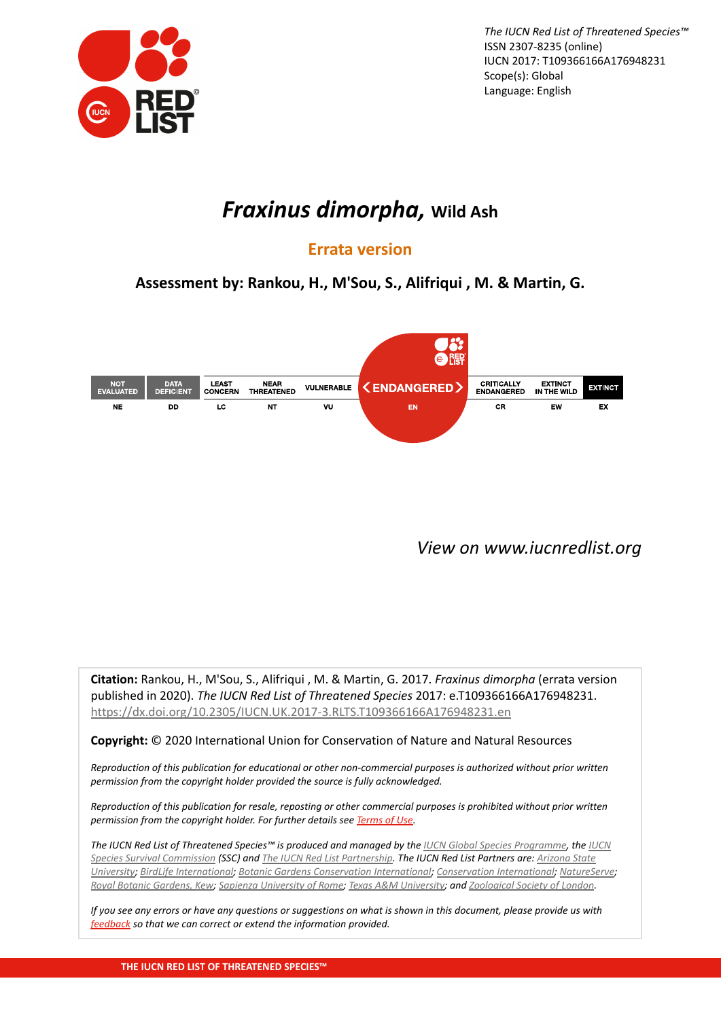

*The IUCN Red List of Threatened Species™* ISSN 2307-8235 (online) IUCN 2017: T109366166A176948231 Scope(s): Global Language: English

# *Fraxinus dimorpha,* **Wild Ash**

## **Errata version**

**Assessment by: Rankou, H., M'Sou, S., Alifriqui , M. & Martin, G.**



*[View on www.iucnredlist.org](https://dx.doi.org/10.2305/IUCN.UK.2017-3.RLTS.T109366166A176948231.en)*

**Citation:** Rankou, H., M'Sou, S., Alifriqui , M. & Martin, G. 2017. *Fraxinus dimorpha* (errata version published in 2020). *The IUCN Red List of Threatened Species* 2017: e.T109366166A176948231. <https://dx.doi.org/10.2305/IUCN.UK.2017-3.RLTS.T109366166A176948231.en>

### **Copyright:** © 2020 International Union for Conservation of Nature and Natural Resources

*Reproduction of this publication for educational or other non-commercial purposes is authorized without prior written permission from the copyright holder provided the source is fully acknowledged.*

*Reproduction of this publication for resale, reposting or other commercial purposes is prohibited without prior written permission from the copyright holder. For further details see [Terms of Use](http://www.iucnredlist.org/info/terms-of-use).*

*The IUCN Red List of Threatened Species™ is produced and managed by the [IUCN Global Species Programme,](http://www.iucn.org/about/work/programmes/species/) the [IUCN](http://www.iucn.org/about/work/programmes/species/who_we_are/about_the_species_survival_commission_/) [Species Survival Commission](http://www.iucn.org/about/work/programmes/species/who_we_are/about_the_species_survival_commission_/) (SSC) and [The IUCN Red List Partnership](http://www.iucnredlist.org/partners/partners). The IUCN Red List Partners are: [Arizona State](http://www.asu.edu/) [University](http://www.asu.edu/); [BirdLife International;](http://www.birdlife.org/) [Botanic Gardens Conservation International](http://www.bgci.org/); [Conservation International;](http://www.conservation.org/) [NatureServe](http://www.natureserve.org/); [Royal Botanic Gardens, Kew](http://www.kew.org/); [Sapienza University of Rome;](http://www.uniroma1.it/) [Texas A&M University](http://www.tamu.edu/); and [Zoological Society of London.](http://www.zsl.org/)*

*If you see any errors or have any questions or suggestions on what is shown in this document, please provide us with [feedback](mailto:redlist@iucn.org?Subject=IUCN Red List PDF - 10.2305/IUCN.UK.2017-3.RLTS.T109366166A176948231.en&body=Please start your message below:%0D) so that we can correct or extend the information provided.*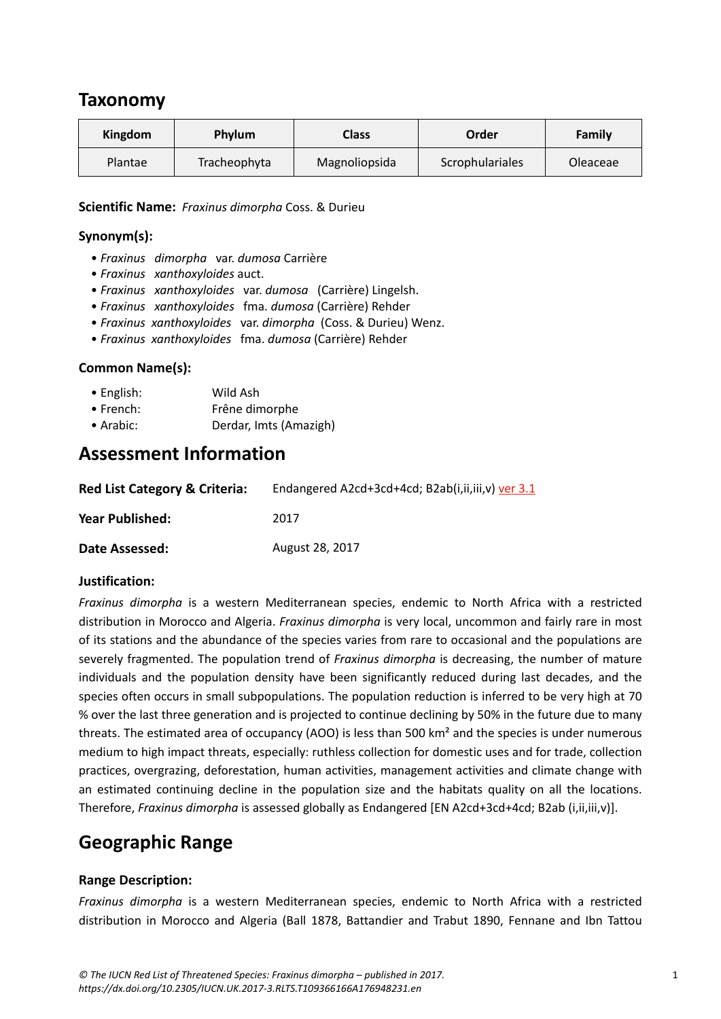## **Taxonomy**

| Kingdom | <b>Phylum</b> | <b>Class</b>  | Order           | Family   |
|---------|---------------|---------------|-----------------|----------|
| Plantae | Tracheophyta  | Magnoliopsida | Scrophulariales | Oleaceae |

#### **Scientific Name:** *Fraxinus dimorpha* Coss. & Durieu

### **Synonym(s):**

- *Fraxinus dimorpha* var. *dumosa* Carrière
- *Fraxinus xanthoxyloides* auct.
- *Fraxinus xanthoxyloides* var. *dumosa* (Carrière) Lingelsh.
- *Fraxinus xanthoxyloides* fma. *dumosa* (Carrière) Rehder
- *Fraxinus xanthoxyloides* var. *dimorpha* (Coss. & Durieu) Wenz.
- *Fraxinus xanthoxyloides* fma. *dumosa* (Carrière) Rehder

### **Common Name(s):**

| $\bullet$ English: | Wild Ash               |
|--------------------|------------------------|
| $\bullet$ French:  | Frêne dimorphe         |
| $\bullet$ Arabic:  | Derdar, Imts (Amazigh) |

## **Assessment Information**

| <b>Red List Category &amp; Criteria:</b> | Endangered A2cd+3cd+4cd; B2ab(i,ii,iii,v) ver 3.1 |  |  |  |
|------------------------------------------|---------------------------------------------------|--|--|--|
| Year Published:                          | 2017                                              |  |  |  |
| Date Assessed:                           | August 28, 2017                                   |  |  |  |

### **Justification:**

*Fraxinus dimorpha* is a western Mediterranean species, endemic to North Africa with a restricted distribution in Morocco and Algeria. *Fraxinus dimorpha* is very local, uncommon and fairly rare in most of its stations and the abundance of the species varies from rare to occasional and the populations are severely fragmented. The population trend of *Fraxinus dimorpha* is decreasing, the number of mature individuals and the population density have been significantly reduced during last decades, and the species often occurs in small subpopulations. The population reduction is inferred to be very high at 70 % over the last three generation and is projected to continue declining by 50% in the future due to many threats. The estimated area of occupancy (AOO) is less than 500 km² and the species is under numerous medium to high impact threats, especially: ruthless collection for domestic uses and for trade, collection practices, overgrazing, deforestation, human activities, management activities and climate change with an estimated continuing decline in the population size and the habitats quality on all the locations. Therefore, *Fraxinus dimorpha* is assessed globally as Endangered [EN A2cd+3cd+4cd; B2ab (i,ii,iii,v)].

# **Geographic Range**

### **Range Description:**

*Fraxinus dimorpha* is a western Mediterranean species, endemic to North Africa with a restricted distribution in Morocco and Algeria (Ball 1878, Battandier and Trabut 1890, Fennane and Ibn Tattou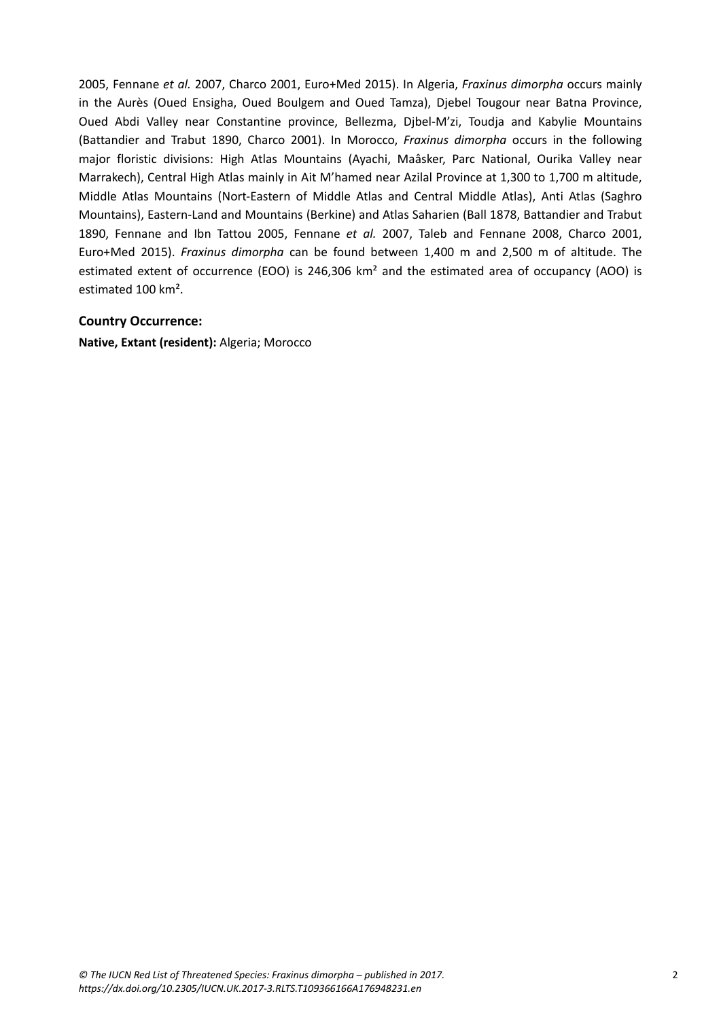2005, Fennane *et al.* 2007, Charco 2001, Euro+Med 2015). In Algeria, *Fraxinus dimorpha* occurs mainly in the Aurès (Oued Ensigha, Oued Boulgem and Oued Tamza), Djebel Tougour near Batna Province, Oued Abdi Valley near Constantine province, Bellezma, Djbel-M'zi, Toudja and Kabylie Mountains (Battandier and Trabut 1890, Charco 2001). In Morocco, *Fraxinus dimorpha* occurs in the following major floristic divisions: High Atlas Mountains (Ayachi, Maâsker, Parc National, Ourika Valley near Marrakech), Central High Atlas mainly in Ait M'hamed near Azilal Province at 1,300 to 1,700 m altitude, Middle Atlas Mountains (Nort-Eastern of Middle Atlas and Central Middle Atlas), Anti Atlas (Saghro Mountains), Eastern-Land and Mountains (Berkine) and Atlas Saharien (Ball 1878, Battandier and Trabut 1890, Fennane and Ibn Tattou 2005, Fennane *et al.* 2007, Taleb and Fennane 2008, Charco 2001, Euro+Med 2015). *Fraxinus dimorpha* can be found between 1,400 m and 2,500 m of altitude. The estimated extent of occurrence (EOO) is 246,306 km<sup>2</sup> and the estimated area of occupancy (AOO) is estimated 100 km².

#### **Country Occurrence:**

**Native, Extant (resident):** Algeria; Morocco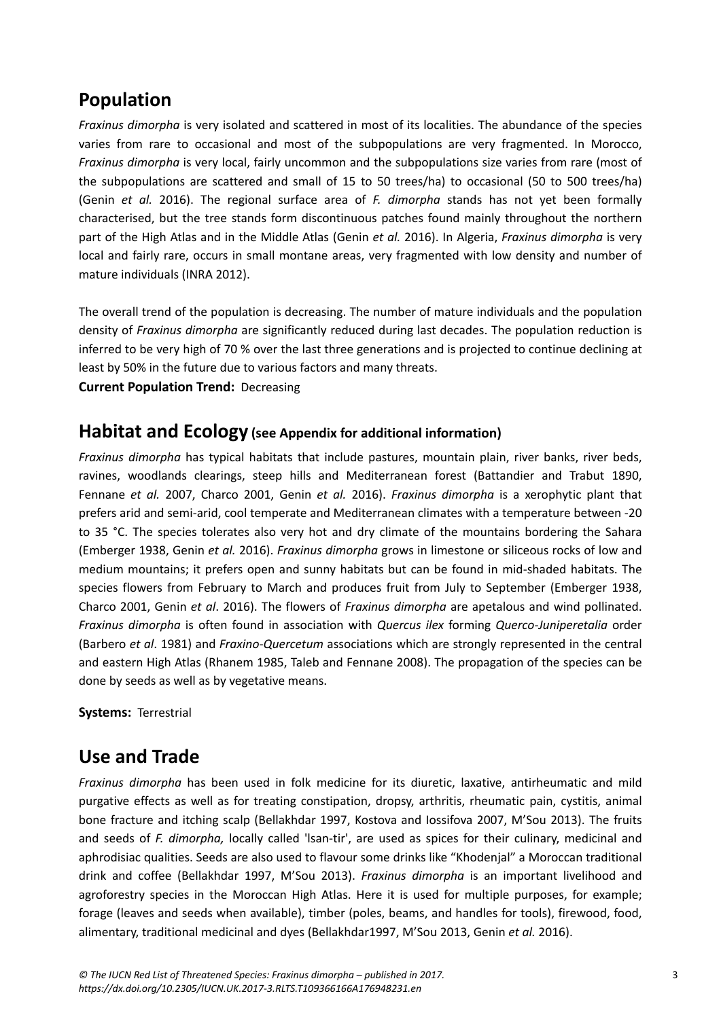# **Population**

*Fraxinus dimorpha* is very isolated and scattered in most of its localities. The abundance of the species varies from rare to occasional and most of the subpopulations are very fragmented. In Morocco, *Fraxinus dimorpha* is very local, fairly uncommon and the subpopulations size varies from rare (most of the subpopulations are scattered and small of 15 to 50 trees/ha) to occasional (50 to 500 trees/ha) (Genin *et al.* 2016). The regional surface area of *F. dimorpha* stands has not yet been formally characterised, but the tree stands form discontinuous patches found mainly throughout the northern part of the High Atlas and in the Middle Atlas (Genin *et al.* 2016). In Algeria, *Fraxinus dimorpha* is very local and fairly rare, occurs in small montane areas, very fragmented with low density and number of mature individuals (INRA 2012).

The overall trend of the population is decreasing. The number of mature individuals and the population density of *Fraxinus dimorpha* are significantly reduced during last decades. The population reduction is inferred to be very high of 70 % over the last three generations and is projected to continue declining at least by 50% in the future due to various factors and many threats.

**Current Population Trend:** Decreasing

### **Habitat and Ecology (see Appendix for additional information)**

*Fraxinus dimorpha* has typical habitats that include pastures, mountain plain, river banks, river beds, ravines, woodlands clearings, steep hills and Mediterranean forest (Battandier and Trabut 1890, Fennane *et al.* 2007, Charco 2001, Genin *et al.* 2016). *Fraxinus dimorpha* is a xerophytic plant that prefers arid and semi-arid, cool temperate and Mediterranean climates with a temperature between -20 to 35 °C. The species tolerates also very hot and dry climate of the mountains bordering the Sahara (Emberger 1938, Genin *et al.* 2016). *Fraxinus dimorpha* grows in limestone or siliceous rocks of low and medium mountains; it prefers open and sunny habitats but can be found in mid-shaded habitats. The species flowers from February to March and produces fruit from July to September (Emberger 1938, Charco 2001, Genin *et al*. 2016). The flowers of *Fraxinus dimorpha* are apetalous and wind pollinated. *Fraxinus dimorpha* is often found in association with *Quercus ilex* forming *Querco-Juniperetalia* order (Barbero *et al*. 1981) and *Fraxino-Quercetum* associations which are strongly represented in the central and eastern High Atlas (Rhanem 1985, Taleb and Fennane 2008). The propagation of the species can be done by seeds as well as by vegetative means.

**Systems:** Terrestrial

# **Use and Trade**

*Fraxinus dimorpha* has been used in folk medicine for its diuretic, laxative, antirheumatic and mild purgative effects as well as for treating constipation, dropsy, arthritis, rheumatic pain, cystitis, animal bone fracture and itching scalp (Bellakhdar 1997, Kostova and Iossifova 2007, M'Sou 2013). The fruits and seeds of *F. dimorpha,* locally called 'lsan-tir', are used as spices for their culinary, medicinal and aphrodisiac qualities. Seeds are also used to flavour some drinks like "Khodenjal" a Moroccan traditional drink and coffee (Bellakhdar 1997, M'Sou 2013). *Fraxinus dimorpha* is an important livelihood and agroforestry species in the Moroccan High Atlas. Here it is used for multiple purposes, for example; forage (leaves and seeds when available), timber (poles, beams, and handles for tools), firewood, food, alimentary, traditional medicinal and dyes (Bellakhdar1997, M'Sou 2013, Genin *et al.* 2016).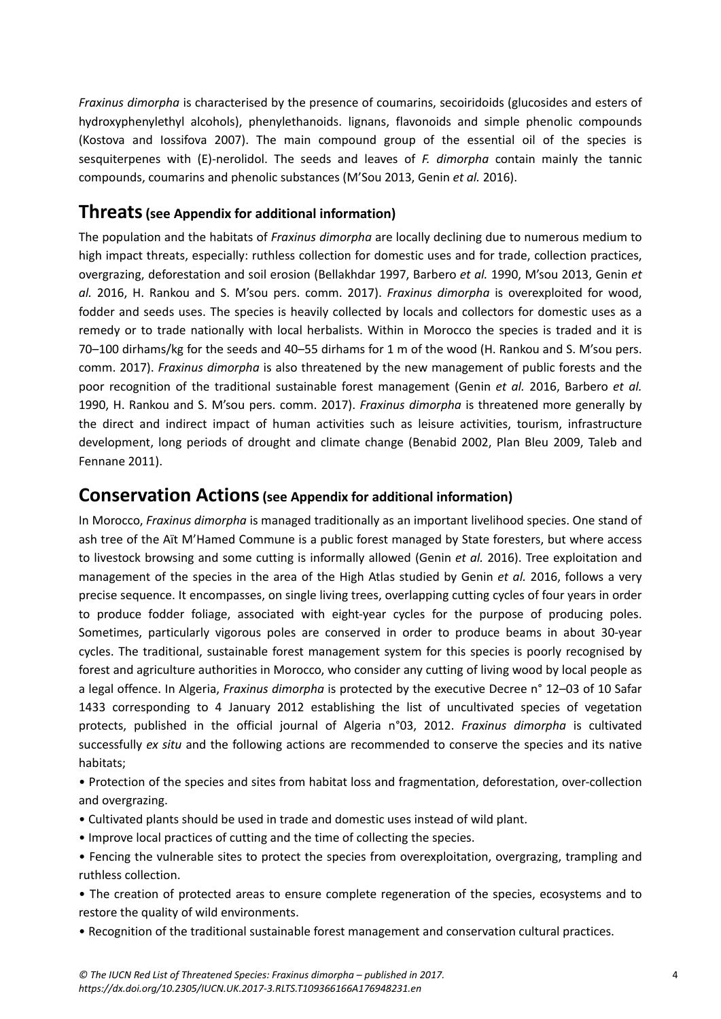*Fraxinus dimorpha* is characterised by the presence of coumarins, secoiridoids (glucosides and esters of hydroxyphenylethyl alcohols), phenylethanoids. lignans, flavonoids and simple phenolic compounds (Kostova and Iossifova 2007). The main compound group of the essential oil of the species is sesquiterpenes with (E)-nerolidol. The seeds and leaves of *F. dimorpha* contain mainly the tannic compounds, coumarins and phenolic substances (M'Sou 2013, Genin *et al.* 2016).

### **Threats(see Appendix for additional information)**

The population and the habitats of *Fraxinus dimorpha* are locally declining due to numerous medium to high impact threats, especially: ruthless collection for domestic uses and for trade, collection practices, overgrazing, deforestation and soil erosion (Bellakhdar 1997, Barbero *et al.* 1990, M'sou 2013, Genin *et al.* 2016, H. Rankou and S. M'sou pers. comm. 2017). *Fraxinus dimorpha* is overexploited for wood, fodder and seeds uses. The species is heavily collected by locals and collectors for domestic uses as a remedy or to trade nationally with local herbalists. Within in Morocco the species is traded and it is 70–100 dirhams/kg for the seeds and 40–55 dirhams for 1 m of the wood (H. Rankou and S. M'sou pers. comm. 2017). *Fraxinus dimorpha* is also threatened by the new management of public forests and the poor recognition of the traditional sustainable forest management (Genin *et al.* 2016, Barbero *et al.* 1990, H. Rankou and S. M'sou pers. comm. 2017). *Fraxinus dimorpha* is threatened more generally by the direct and indirect impact of human activities such as leisure activities, tourism, infrastructure development, long periods of drought and climate change (Benabid 2002, Plan Bleu 2009, Taleb and Fennane 2011).

### **Conservation Actions(see Appendix for additional information)**

In Morocco, *Fraxinus dimorpha* is managed traditionally as an important livelihood species. One stand of ash tree of the Aït M'Hamed Commune is a public forest managed by State foresters, but where access to livestock browsing and some cutting is informally allowed (Genin *et al.* 2016). Tree exploitation and management of the species in the area of the High Atlas studied by Genin *et al.* 2016, follows a very precise sequence. It encompasses, on single living trees, overlapping cutting cycles of four years in order to produce fodder foliage, associated with eight-year cycles for the purpose of producing poles. Sometimes, particularly vigorous poles are conserved in order to produce beams in about 30-year cycles. The traditional, sustainable forest management system for this species is poorly recognised by forest and agriculture authorities in Morocco, who consider any cutting of living wood by local people as a legal offence. In Algeria, *Fraxinus dimorpha* is protected by the executive Decree n° 12–03 of 10 Safar 1433 corresponding to 4 January 2012 establishing the list of uncultivated species of vegetation protects, published in the official journal of Algeria n°03, 2012. *Fraxinus dimorpha* is cultivated successfully *ex situ* and the following actions are recommended to conserve the species and its native habitats;

• Protection of the species and sites from habitat loss and fragmentation, deforestation, over-collection and overgrazing.

- Cultivated plants should be used in trade and domestic uses instead of wild plant.
- Improve local practices of cutting and the time of collecting the species.
- Fencing the vulnerable sites to protect the species from overexploitation, overgrazing, trampling and ruthless collection.

• The creation of protected areas to ensure complete regeneration of the species, ecosystems and to restore the quality of wild environments.

• Recognition of the traditional sustainable forest management and conservation cultural practices.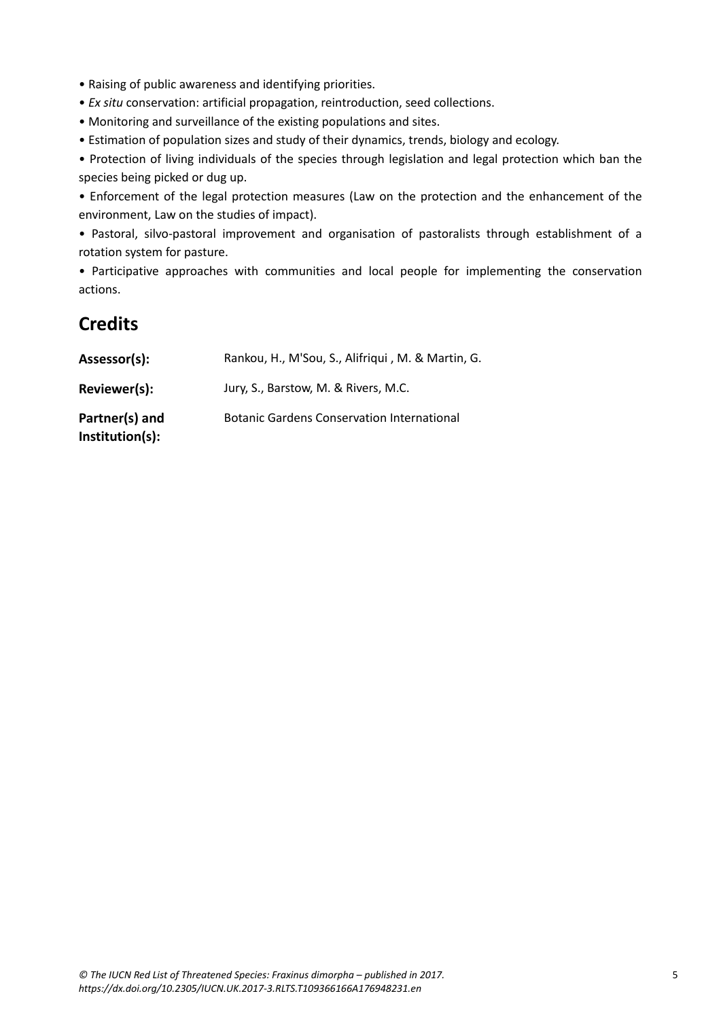- Raising of public awareness and identifying priorities.
- *Ex situ* conservation: artificial propagation, reintroduction, seed collections.
- Monitoring and surveillance of the existing populations and sites.
- Estimation of population sizes and study of their dynamics, trends, biology and ecology.

• Protection of living individuals of the species through legislation and legal protection which ban the species being picked or dug up.

• Enforcement of the legal protection measures (Law on the protection and the enhancement of the environment, Law on the studies of impact).

• Pastoral, silvo-pastoral improvement and organisation of pastoralists through establishment of a rotation system for pasture.

• Participative approaches with communities and local people for implementing the conservation actions.

# **Credits**

| Assessor(s):                      | Rankou, H., M'Sou, S., Alifriqui, M. & Martin, G. |
|-----------------------------------|---------------------------------------------------|
| Reviewer(s):                      | Jury, S., Barstow, M. & Rivers, M.C.              |
| Partner(s) and<br>Institution(s): | <b>Botanic Gardens Conservation International</b> |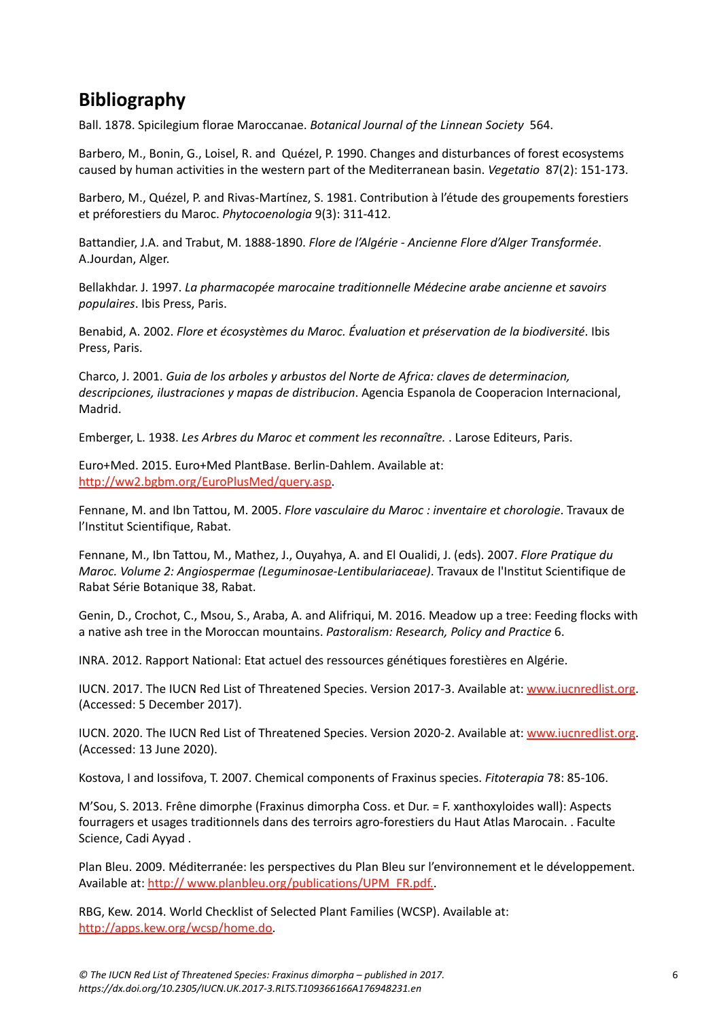# **Bibliography**

Ball. 1878. Spicilegium florae Maroccanae. *Botanical Journal of the Linnean Society* 564.

Barbero, M., Bonin, G., Loisel, R. and Quézel, P. 1990. Changes and disturbances of forest ecosystems caused by human activities in the western part of the Mediterranean basin. *Vegetatio* 87(2): 151-173.

Barbero, M., Quézel, P. and Rivas-Martínez, S. 1981. Contribution à l'étude des groupements forestiers et préforestiers du Maroc. *Phytocoenologia* 9(3): 311-412.

Battandier, J.A. and Trabut, M. 1888-1890. *Flore de l'Algérie - Ancienne Flore d'Alger Transformée*. A.Jourdan, Alger.

Bellakhdar. J. 1997. *La pharmacopée marocaine traditionnelle Médecine arabe ancienne et savoirs populaires*. Ibis Press, Paris.

Benabid, A. 2002. *Flore et écosystèmes du Maroc. Évaluation et préservation de la biodiversité*. Ibis Press, Paris.

Charco, J. 2001. *Guia de los arboles y arbustos del Norte de Africa: claves de determinacion, descripciones, ilustraciones y mapas de distribucion*. Agencia Espanola de Cooperacion Internacional, Madrid.

Emberger, L. 1938. *Les Arbres du Maroc et comment les reconnaître.* . Larose Editeurs, Paris.

Euro+Med. 2015. Euro+Med PlantBase. Berlin-Dahlem. Available at: [http://ww2.bgbm.org/EuroPlusMed/query.asp.](http://ww2.bgbm.org/EuroPlusMed/query.asp)

Fennane, M. and Ibn Tattou, M. 2005. *Flore vasculaire du Maroc : inventaire et chorologie*. Travaux de l'Institut Scientifique, Rabat.

Fennane, M., Ibn Tattou, M., Mathez, J., Ouyahya, A. and El Oualidi, J. (eds). 2007. *Flore Pratique du Maroc. Volume 2: Angiospermae (Leguminosae-Lentibulariaceae)*. Travaux de l'Institut Scientifique de Rabat Série Botanique 38, Rabat.

Genin, D., Crochot, C., Msou, S., Araba, A. and Alifriqui, M. 2016. Meadow up a tree: Feeding flocks with a native ash tree in the Moroccan mountains. *Pastoralism: Research, Policy and Practice* 6.

INRA. 2012. Rapport National: Etat actuel des ressources génétiques forestières en Algérie.

IUCN. 2017. The IUCN Red List of Threatened Species. Version 2017-3. Available at: [www.iucnredlist.org.](www.iucnredlist.org) (Accessed: 5 December 2017).

IUCN. 2020. The IUCN Red List of Threatened Species. Version 2020-2. Available at: [www.iucnredlist.org.](www.iucnredlist.org) (Accessed: 13 June 2020).

Kostova, I and Iossifova, T. 2007. Chemical components of Fraxinus species. *Fitoterapia* 78: 85-106.

M'Sou, S. 2013. Frêne dimorphe (Fraxinus dimorpha Coss. et Dur. = F. xanthoxyloides wall): Aspects fourragers et usages traditionnels dans des terroirs agro-forestiers du Haut Atlas Marocain. . Faculte Science, Cadi Ayyad .

Plan Bleu. 2009. Méditerranée: les perspectives du Plan Bleu sur l'environnement et le développement. Available at: [http:// www.planbleu.org/publications/UPM\\_FR.pdf.](http:// www.planbleu.org/publications/UPM_FR.pdf.).

RBG, Kew. 2014. World Checklist of Selected Plant Families (WCSP). Available at: [http://apps.kew.org/wcsp/home.do.](http://apps.kew.org/wcsp/home.do)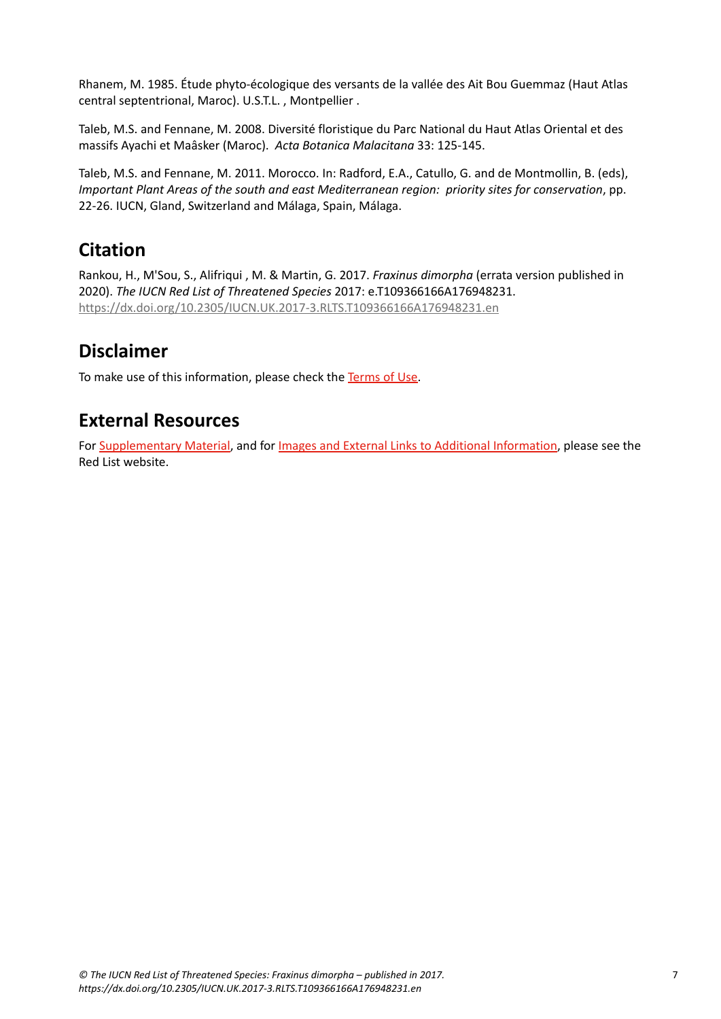Rhanem, M. 1985. Étude phyto-écologique des versants de la vallée des Ait Bou Guemmaz (Haut Atlas central septentrional, Maroc). U.S.T.L. , Montpellier .

Taleb, M.S. and Fennane, M. 2008. Diversité floristique du Parc National du Haut Atlas Oriental et des massifs Ayachi et
Maâsker (Maroc). *Acta Botanica Malacitana* 33: 125-145.

Taleb, M.S. and Fennane, M. 2011. Morocco. In: Radford, E.A., Catullo, G. and de Montmollin, B. (eds), *Important Plant Areas of the south and east Mediterranean region: priority sites for conservation*, pp. 22-26. IUCN, Gland, Switzerland and Málaga, Spain, Málaga.

# **Citation**

Rankou, H., M'Sou, S., Alifriqui , M. & Martin, G. 2017. *Fraxinus dimorpha* (errata version published in 2020). *The IUCN Red List of Threatened Species* 2017: e.T109366166A176948231. <https://dx.doi.org/10.2305/IUCN.UK.2017-3.RLTS.T109366166A176948231.en>

# **Disclaimer**

To make use of this information, please check the [Terms of Use](http://www.iucnredlist.org/info/terms-of-use).

# **External Resources**

For [Supplementary Material](https://dx.doi.org/10.2305/IUCN.UK.2017-3.RLTS.T109366166A176948231.en), and for [Images and External Links to Additional Information](https://dx.doi.org/10.2305/IUCN.UK.2017-3.RLTS.T109366166A176948231.en), please see the Red List website.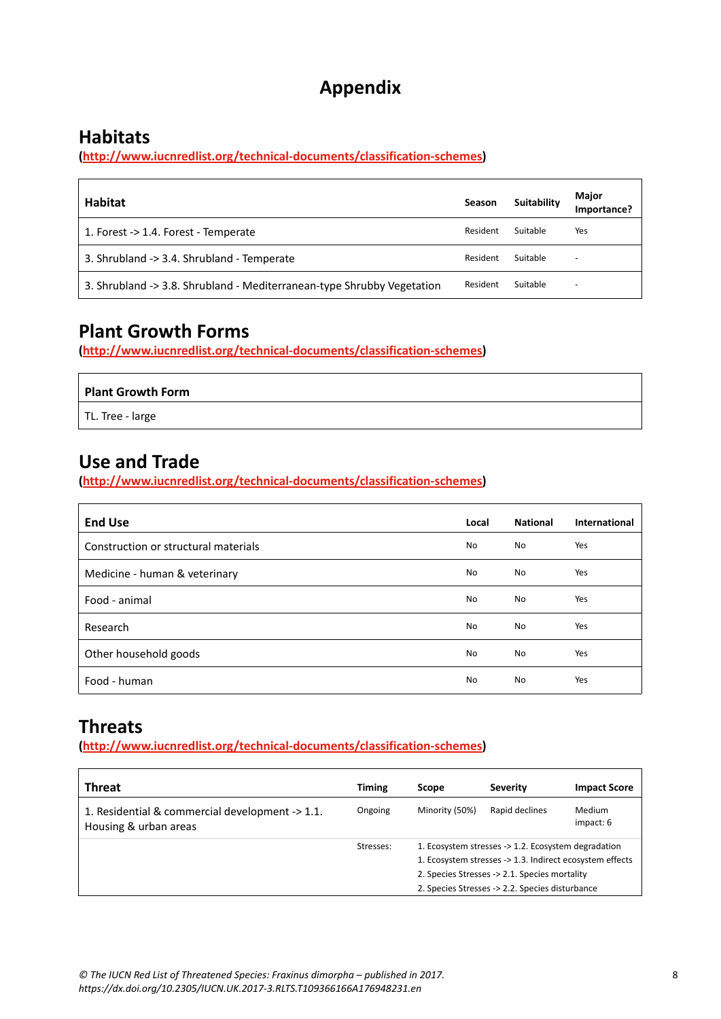# **Appendix**

# **Habitats**

**[\(http://www.iucnredlist.org/technical-documents/classification-schemes](http://www.iucnredlist.org/technical-documents/classification-schemes))**

| Habitat                                                                | <b>Season</b> | <b>Suitability</b> | Major<br>Importance?     |
|------------------------------------------------------------------------|---------------|--------------------|--------------------------|
| 1. Forest -> 1.4. Forest - Temperate                                   | Resident      | Suitable           | Yes                      |
| 3. Shrubland -> 3.4. Shrubland - Temperate                             | Resident      | Suitable           | $\overline{\phantom{0}}$ |
| 3. Shrubland -> 3.8. Shrubland - Mediterranean-type Shrubby Vegetation | Resident      | Suitable           | $\overline{\phantom{0}}$ |

# **Plant Growth Forms**

**[\(http://www.iucnredlist.org/technical-documents/classification-schemes](http://www.iucnredlist.org/technical-documents/classification-schemes))**

| Plant Growth Form |  |
|-------------------|--|
| TL. Tree - large  |  |

# **Use and Trade**

**[\(http://www.iucnredlist.org/technical-documents/classification-schemes](http://www.iucnredlist.org/technical-documents/classification-schemes))**

| <b>End Use</b>                       | Local     | <b>National</b> | International |
|--------------------------------------|-----------|-----------------|---------------|
| Construction or structural materials | <b>No</b> | No              | Yes           |
| Medicine - human & veterinary        | <b>No</b> | No              | Yes           |
| Food - animal                        | <b>No</b> | No              | Yes           |
| Research                             | <b>No</b> | No              | Yes           |
| Other household goods                | <b>No</b> | No              | Yes           |
| Food - human                         | <b>No</b> | No              | Yes           |

# **Threats**

**[\(http://www.iucnredlist.org/technical-documents/classification-schemes](http://www.iucnredlist.org/technical-documents/classification-schemes))**

| <b>Timing</b> | Scope          | <b>Severity</b> | <b>Impact Score</b>                                                                                                                                                                                                 |
|---------------|----------------|-----------------|---------------------------------------------------------------------------------------------------------------------------------------------------------------------------------------------------------------------|
| Ongoing       | Minority (50%) | Rapid declines  | <b>Medium</b><br>impact: 6                                                                                                                                                                                          |
| Stresses:     |                |                 |                                                                                                                                                                                                                     |
|               |                |                 |                                                                                                                                                                                                                     |
|               |                |                 |                                                                                                                                                                                                                     |
|               |                |                 | 1. Ecosystem stresses -> 1.2. Ecosystem degradation<br>1. Ecosystem stresses -> 1.3. Indirect ecosystem effects<br>2. Species Stresses -> 2.1. Species mortality<br>2. Species Stresses -> 2.2. Species disturbance |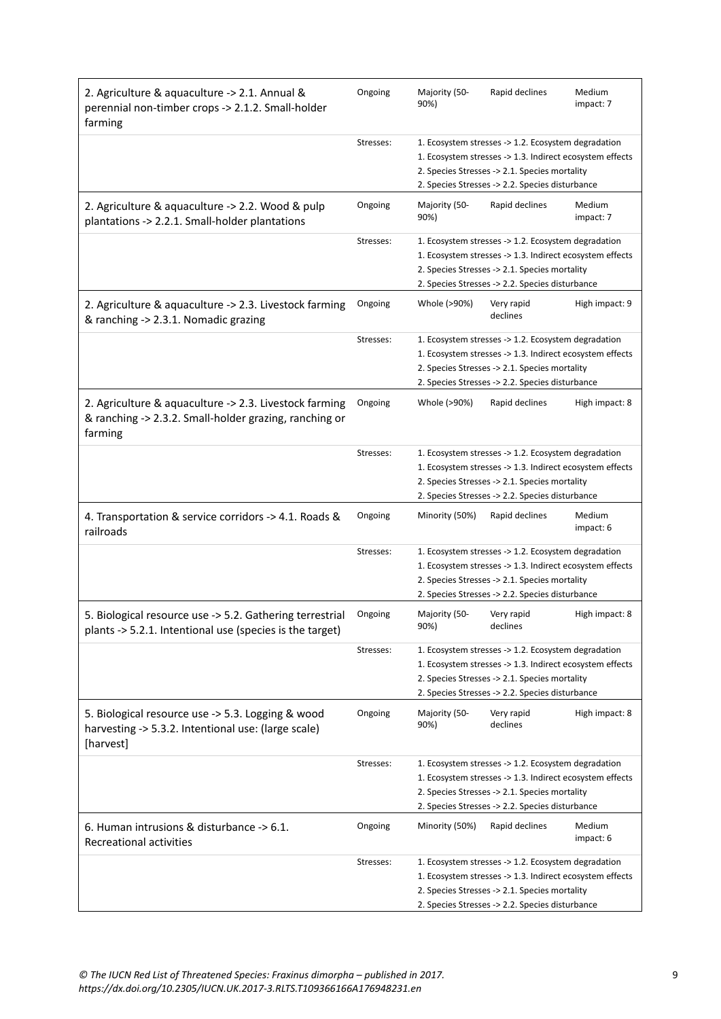| 2. Agriculture & aquaculture -> 2.1. Annual &<br>perennial non-timber crops -> 2.1.2. Small-holder<br>farming               | Ongoing   | Majority (50-<br>90%)                                                                                                                                                                                               | Rapid declines                                                                                                                                                                                                      | Medium<br>impact: 7 |
|-----------------------------------------------------------------------------------------------------------------------------|-----------|---------------------------------------------------------------------------------------------------------------------------------------------------------------------------------------------------------------------|---------------------------------------------------------------------------------------------------------------------------------------------------------------------------------------------------------------------|---------------------|
|                                                                                                                             | Stresses: |                                                                                                                                                                                                                     | 1. Ecosystem stresses -> 1.2. Ecosystem degradation<br>1. Ecosystem stresses -> 1.3. Indirect ecosystem effects<br>2. Species Stresses -> 2.1. Species mortality<br>2. Species Stresses -> 2.2. Species disturbance |                     |
| 2. Agriculture & aquaculture -> 2.2. Wood & pulp<br>plantations -> 2.2.1. Small-holder plantations                          | Ongoing   | Majority (50-<br>90%)                                                                                                                                                                                               | Rapid declines                                                                                                                                                                                                      | Medium<br>impact: 7 |
|                                                                                                                             | Stresses: |                                                                                                                                                                                                                     | 1. Ecosystem stresses -> 1.2. Ecosystem degradation<br>1. Ecosystem stresses -> 1.3. Indirect ecosystem effects<br>2. Species Stresses -> 2.1. Species mortality<br>2. Species Stresses -> 2.2. Species disturbance |                     |
| 2. Agriculture & aquaculture -> 2.3. Livestock farming<br>& ranching -> 2.3.1. Nomadic grazing                              | Ongoing   | Whole (>90%)                                                                                                                                                                                                        | Very rapid<br>declines                                                                                                                                                                                              | High impact: 9      |
|                                                                                                                             | Stresses: |                                                                                                                                                                                                                     | 1. Ecosystem stresses -> 1.2. Ecosystem degradation<br>1. Ecosystem stresses -> 1.3. Indirect ecosystem effects<br>2. Species Stresses -> 2.1. Species mortality<br>2. Species Stresses -> 2.2. Species disturbance |                     |
| 2. Agriculture & aquaculture -> 2.3. Livestock farming<br>& ranching -> 2.3.2. Small-holder grazing, ranching or<br>farming | Ongoing   | Whole (>90%)                                                                                                                                                                                                        | Rapid declines                                                                                                                                                                                                      | High impact: 8      |
|                                                                                                                             | Stresses: |                                                                                                                                                                                                                     | 1. Ecosystem stresses -> 1.2. Ecosystem degradation<br>1. Ecosystem stresses -> 1.3. Indirect ecosystem effects<br>2. Species Stresses -> 2.1. Species mortality<br>2. Species Stresses -> 2.2. Species disturbance |                     |
| 4. Transportation & service corridors -> 4.1. Roads &<br>railroads                                                          | Ongoing   | Minority (50%)                                                                                                                                                                                                      | Rapid declines                                                                                                                                                                                                      | Medium<br>impact: 6 |
|                                                                                                                             | Stresses: |                                                                                                                                                                                                                     | 1. Ecosystem stresses -> 1.2. Ecosystem degradation<br>1. Ecosystem stresses -> 1.3. Indirect ecosystem effects<br>2. Species Stresses -> 2.1. Species mortality<br>2. Species Stresses -> 2.2. Species disturbance |                     |
| 5. Biological resource use -> 5.2. Gathering terrestrial<br>plants -> 5.2.1. Intentional use (species is the target)        | Ongoing   | Majority (50-<br>90%)                                                                                                                                                                                               | Very rapid<br>declines                                                                                                                                                                                              | High impact: 8      |
|                                                                                                                             | Stresses: | 1. Ecosystem stresses -> 1.2. Ecosystem degradation<br>1. Ecosystem stresses -> 1.3. Indirect ecosystem effects<br>2. Species Stresses -> 2.1. Species mortality<br>2. Species Stresses -> 2.2. Species disturbance |                                                                                                                                                                                                                     |                     |
| 5. Biological resource use -> 5.3. Logging & wood<br>harvesting -> 5.3.2. Intentional use: (large scale)<br>[harvest]       | Ongoing   | Majority (50-<br>90%)                                                                                                                                                                                               | Very rapid<br>declines                                                                                                                                                                                              | High impact: 8      |
|                                                                                                                             | Stresses: |                                                                                                                                                                                                                     | 1. Ecosystem stresses -> 1.2. Ecosystem degradation<br>1. Ecosystem stresses -> 1.3. Indirect ecosystem effects<br>2. Species Stresses -> 2.1. Species mortality<br>2. Species Stresses -> 2.2. Species disturbance |                     |
| 6. Human intrusions & disturbance -> 6.1.<br>Recreational activities                                                        | Ongoing   | Minority (50%)                                                                                                                                                                                                      | Rapid declines                                                                                                                                                                                                      | Medium<br>impact: 6 |
|                                                                                                                             | Stresses: |                                                                                                                                                                                                                     | 1. Ecosystem stresses -> 1.2. Ecosystem degradation<br>1. Ecosystem stresses -> 1.3. Indirect ecosystem effects<br>2. Species Stresses -> 2.1. Species mortality<br>2. Species Stresses -> 2.2. Species disturbance |                     |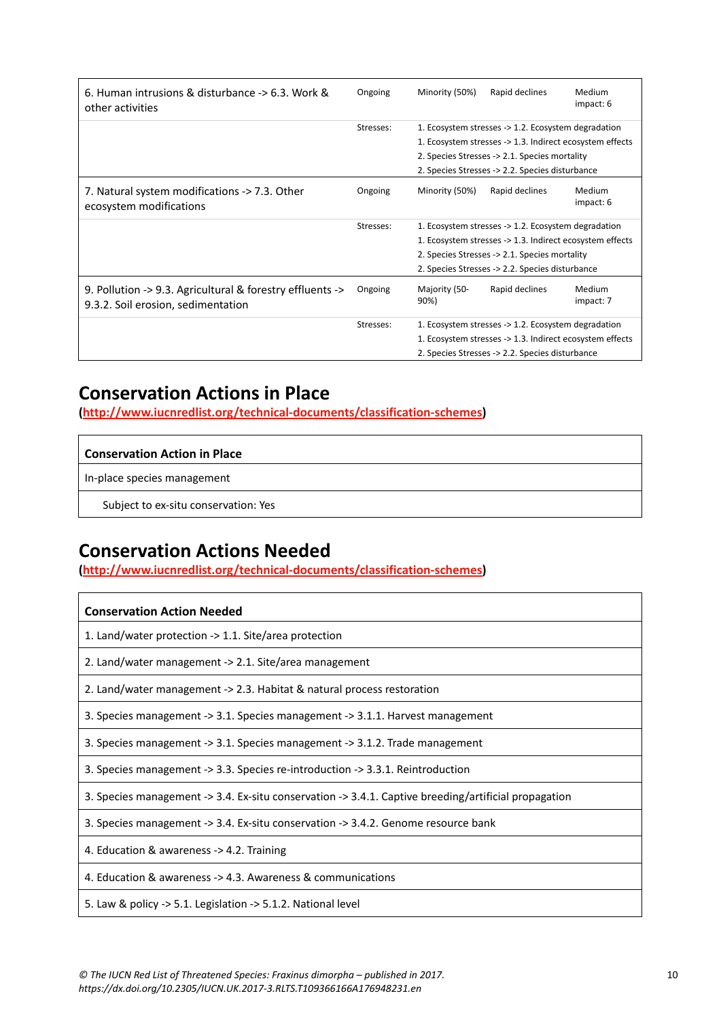| 6. Human intrusions & disturbance -> 6.3. Work &<br>other activities                            | Ongoing   | Minority (50%)        | Rapid declines                                           | Medium<br>impact: 6 |
|-------------------------------------------------------------------------------------------------|-----------|-----------------------|----------------------------------------------------------|---------------------|
|                                                                                                 | Stresses: |                       | 1. Ecosystem stresses -> 1.2. Ecosystem degradation      |                     |
|                                                                                                 |           |                       | 1. Ecosystem stresses -> 1.3. Indirect ecosystem effects |                     |
|                                                                                                 |           |                       | 2. Species Stresses -> 2.1. Species mortality            |                     |
|                                                                                                 |           |                       | 2. Species Stresses -> 2.2. Species disturbance          |                     |
| 7. Natural system modifications -> 7.3. Other<br>ecosystem modifications                        | Ongoing   | Minority (50%)        | Rapid declines                                           | Medium<br>impact: 6 |
|                                                                                                 | Stresses: |                       | 1. Ecosystem stresses -> 1.2. Ecosystem degradation      |                     |
|                                                                                                 |           |                       | 1. Ecosystem stresses -> 1.3. Indirect ecosystem effects |                     |
| 2. Species Stresses -> 2.1. Species mortality                                                   |           |                       |                                                          |                     |
|                                                                                                 |           |                       | 2. Species Stresses -> 2.2. Species disturbance          |                     |
| 9. Pollution -> 9.3. Agricultural & forestry effluents -><br>9.3.2. Soil erosion, sedimentation | Ongoing   | Majority (50-<br>90%) | Rapid declines                                           | Medium<br>impact: 7 |
|                                                                                                 | Stresses: |                       | 1. Ecosystem stresses -> 1.2. Ecosystem degradation      |                     |
|                                                                                                 |           |                       | 1. Ecosystem stresses -> 1.3. Indirect ecosystem effects |                     |
|                                                                                                 |           |                       | 2. Species Stresses -> 2.2. Species disturbance          |                     |

# **Conservation Actions in Place**

**[\(http://www.iucnredlist.org/technical-documents/classification-schemes](http://www.iucnredlist.org/technical-documents/classification-schemes))**

### **Conservation Action in Place**

In-place species management

Subject to ex-situ conservation: Yes

# **Conservation Actions Needed**

**[\(http://www.iucnredlist.org/technical-documents/classification-schemes](http://www.iucnredlist.org/technical-documents/classification-schemes))**

| <b>Conservation Action Needed</b>                                                                    |
|------------------------------------------------------------------------------------------------------|
| 1. Land/water protection -> 1.1. Site/area protection                                                |
| 2. Land/water management -> 2.1. Site/area management                                                |
| 2. Land/water management -> 2.3. Habitat & natural process restoration                               |
| 3. Species management -> 3.1. Species management -> 3.1.1. Harvest management                        |
| 3. Species management -> 3.1. Species management -> 3.1.2. Trade management                          |
| 3. Species management -> 3.3. Species re-introduction -> 3.3.1. Reintroduction                       |
| 3. Species management -> 3.4. Ex-situ conservation -> 3.4.1. Captive breeding/artificial propagation |
| 3. Species management -> 3.4. Ex-situ conservation -> 3.4.2. Genome resource bank                    |
| 4. Education & awareness -> 4.2. Training                                                            |
| 4. Education & awareness -> 4.3. Awareness & communications                                          |
| 5. Law & policy -> 5.1. Legislation -> 5.1.2. National level                                         |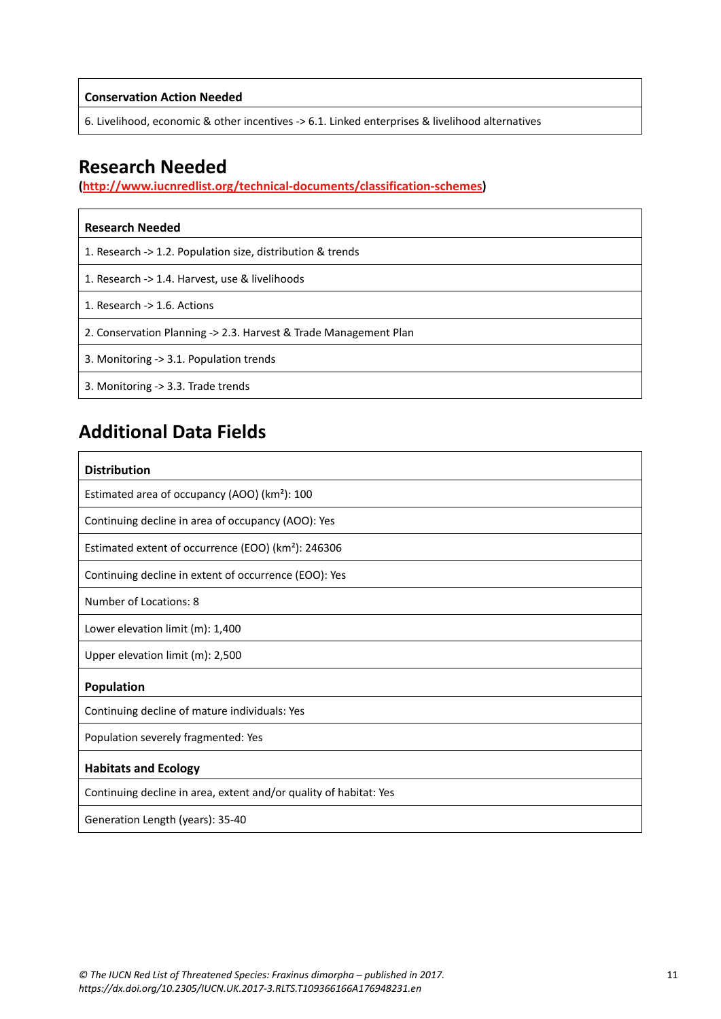**Conservation Action Needed**

6. Livelihood, economic & other incentives -> 6.1. Linked enterprises & livelihood alternatives

## **Research Needed**

**[\(http://www.iucnredlist.org/technical-documents/classification-schemes](http://www.iucnredlist.org/technical-documents/classification-schemes))**

| <b>Research Needed</b>                                           |
|------------------------------------------------------------------|
| 1. Research -> 1.2. Population size, distribution & trends       |
| 1. Research -> 1.4. Harvest, use & livelihoods                   |
| 1. Research $\rightarrow$ 1.6. Actions                           |
| 2. Conservation Planning -> 2.3. Harvest & Trade Management Plan |
| 3. Monitoring -> 3.1. Population trends                          |
| 3. Monitoring -> 3.3. Trade trends                               |

# **Additional Data Fields**

| <b>Distribution</b>                                               |
|-------------------------------------------------------------------|
| Estimated area of occupancy (AOO) (km <sup>2</sup> ): 100         |
| Continuing decline in area of occupancy (AOO): Yes                |
| Estimated extent of occurrence (EOO) (km <sup>2</sup> ): 246306   |
| Continuing decline in extent of occurrence (EOO): Yes             |
| Number of Locations: 8                                            |
| Lower elevation limit (m): 1,400                                  |
| Upper elevation limit (m): 2,500                                  |
| Population                                                        |
| Continuing decline of mature individuals: Yes                     |
| Population severely fragmented: Yes                               |
| <b>Habitats and Ecology</b>                                       |
| Continuing decline in area, extent and/or quality of habitat: Yes |
| Generation Length (years): 35-40                                  |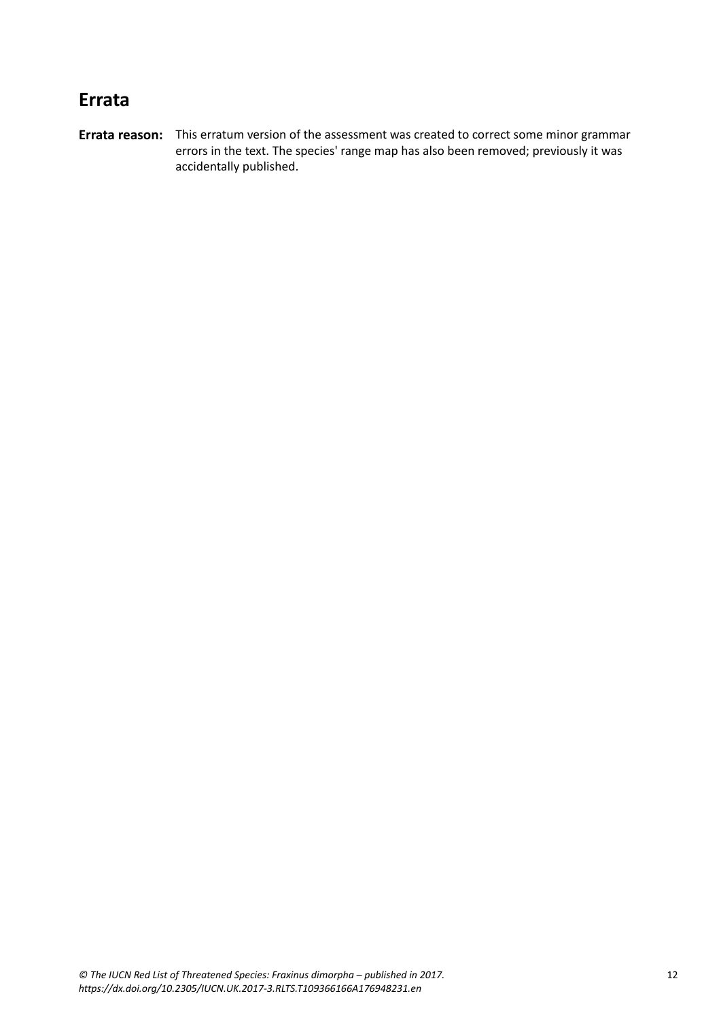# **Errata**

**Errata reason:** This erratum version of the assessment was created to correct some minor grammar errors in the text. The species' range map has also been removed; previously it was accidentally published.